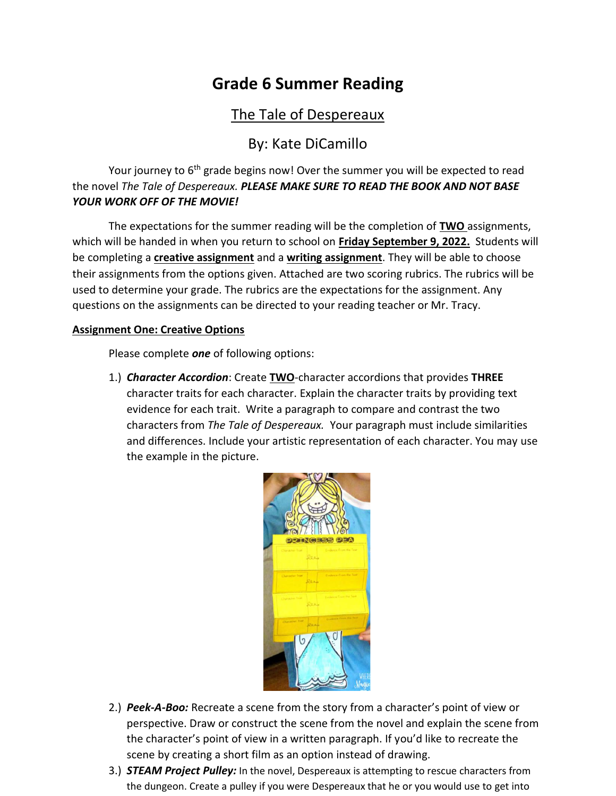## **Grade 6 Summer Reading**

## The Tale of Despereaux

### By: Kate DiCamillo

Your journey to 6<sup>th</sup> grade begins now! Over the summer you will be expected to read the novel *The Tale of Despereaux. PLEASE MAKE SURE TO READ THE BOOK AND NOT BASE YOUR WORK OFF OF THE MOVIE!* 

The expectations for the summer reading will be the completion of **TWO** assignments, which will be handed in when you return to school on **Friday September 9, 2022.** Students will be completing a **creative assignment** and a **writing assignment**. They will be able to choose their assignments from the options given. Attached are two scoring rubrics. The rubrics will be used to determine your grade. The rubrics are the expectations for the assignment. Any questions on the assignments can be directed to your reading teacher or Mr. Tracy.

#### **Assignment One: Creative Options**

Please complete *one* of following options:

1.) *Character Accordion*: Create **TWO**-character accordions that provides **THREE** character traits for each character. Explain the character traits by providing text evidence for each trait. Write a paragraph to compare and contrast the two characters from *The Tale of Despereaux.* Your paragraph must include similarities and differences. Include your artistic representation of each character. You may use the example in the picture.



- 2.) *Peek-A-Boo:* Recreate a scene from the story from a character's point of view or perspective. Draw or construct the scene from the novel and explain the scene from the character's point of view in a written paragraph. If you'd like to recreate the scene by creating a short film as an option instead of drawing.
- 3.) *STEAM Project Pulley:* In the novel, Despereaux is attempting to rescue characters from the dungeon. Create a pulley if you were Despereaux that he or you would use to get into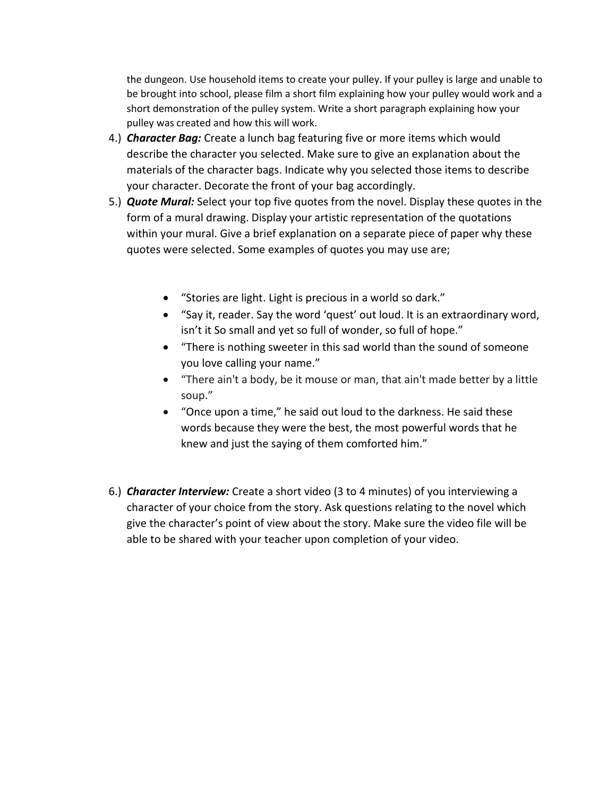the dungeon. Use household items to create your pulley. If your pulley is large and unable to be brought into school, please film a short film explaining how your pulley would work and a short demonstration of the pulley system. Write a short paragraph explaining how your pulley was created and how this will work.

- 4.) *Character Bag:* Create a lunch bag featuring five or more items which would describe the character you selected. Make sure to give an explanation about the materials of the character bags. Indicate why you selected those items to describe your character. Decorate the front of your bag accordingly.
- 5.) *Quote Mural:* Select your top five quotes from the novel. Display these quotes in the form of a mural drawing. Display your artistic representation of the quotations within your mural. Give a brief explanation on a separate piece of paper why these quotes were selected. Some examples of quotes you may use are;
	- "Stories are light. Light is precious in a world so dark."
	- "Say it, reader. Say the word 'quest' out loud. It is an extraordinary word, isn't it So small and yet so full of wonder, so full of hope."
	- "There is nothing sweeter in this sad world than the sound of someone you love calling your name."
	- "There ain't a body, be it mouse or man, that ain't made better by a little soup."
	- "Once upon a time," he said out loud to the darkness. He said these words because they were the best, the most powerful words that he knew and just the saying of them comforted him."
- 6.) *Character Interview:* Create a short video (3 to 4 minutes) of you interviewing a character of your choice from the story. Ask questions relating to the novel which give the character's point of view about the story. Make sure the video file will be able to be shared with your teacher upon completion of your video.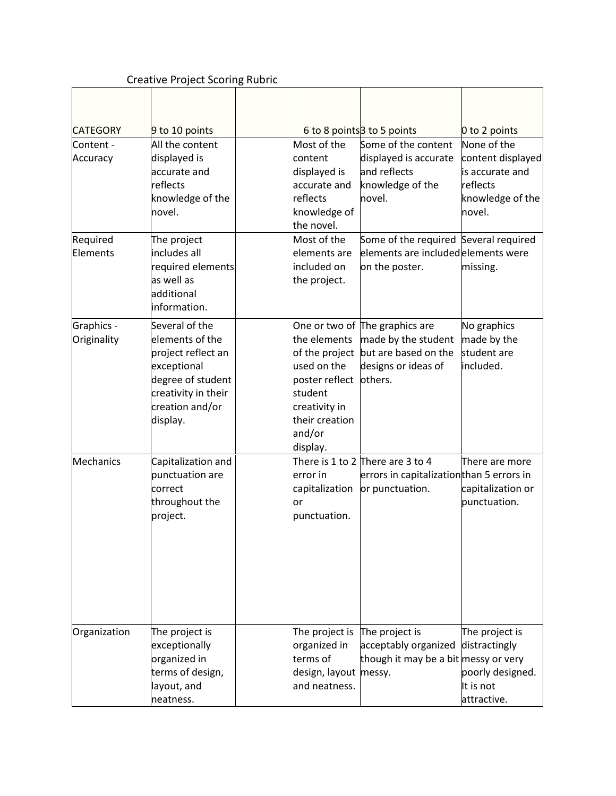## Creative Project Scoring Rubric

| <b>CATEGORY</b>           | 9 to 10 points                                                                                                                                    |                                                                                                                                     | 6 to 8 points 3 to 5 points                                                                                     | 0 to 2 points                                                                                 |
|---------------------------|---------------------------------------------------------------------------------------------------------------------------------------------------|-------------------------------------------------------------------------------------------------------------------------------------|-----------------------------------------------------------------------------------------------------------------|-----------------------------------------------------------------------------------------------|
| Content -<br>Accuracy     | All the content<br>displayed is<br>accurate and<br>reflects<br>knowledge of the<br>novel.                                                         | Most of the<br>content<br>displayed is<br>accurate and<br>reflects<br>knowledge of<br>the novel.                                    | Some of the content<br>displayed is accurate<br>and reflects<br>knowledge of the<br>novel.                      | None of the<br>content displayed<br>is accurate and<br>reflects<br>knowledge of the<br>novel. |
| Required<br>Elements      | The project<br>includes all<br>required elements<br>as well as<br>additional<br>information.                                                      | Most of the<br>elements are<br>included on<br>the project.                                                                          | Some of the required Several required<br>elements are includedelements were<br>on the poster.                   | missing.                                                                                      |
| Graphics -<br>Originality | Several of the<br>elements of the<br>project reflect an<br>exceptional<br>degree of student<br>creativity in their<br>creation and/or<br>display. | the elements<br>of the project<br>used on the<br>poster reflect<br>student<br>creativity in<br>their creation<br>and/or<br>display. | One or two of The graphics are<br>made by the student<br>but are based on the<br>designs or ideas of<br>others. | No graphics<br>made by the<br>student are<br>included.                                        |
| Mechanics                 | Capitalization and<br>punctuation are<br>correct<br>throughout the<br>project.                                                                    | error in<br>capitalization<br>or<br>punctuation.                                                                                    | There is 1 to 2 There are 3 to 4<br>errors in capitalizationthan 5 errors in<br>or punctuation.                 | There are more<br>capitalization or<br>punctuation.                                           |
| Organization              | The project is<br>exceptionally<br>organized in<br>terms of design,<br>layout, and<br>neatness.                                                   | The project is<br>organized in<br>terms of<br>design, layout<br>and neatness.                                                       | The project is<br>acceptably organized<br>though it may be a bit messy or very<br>messy.                        | The project is<br>distractingly<br>poorly designed.<br>It is not<br>attractive.               |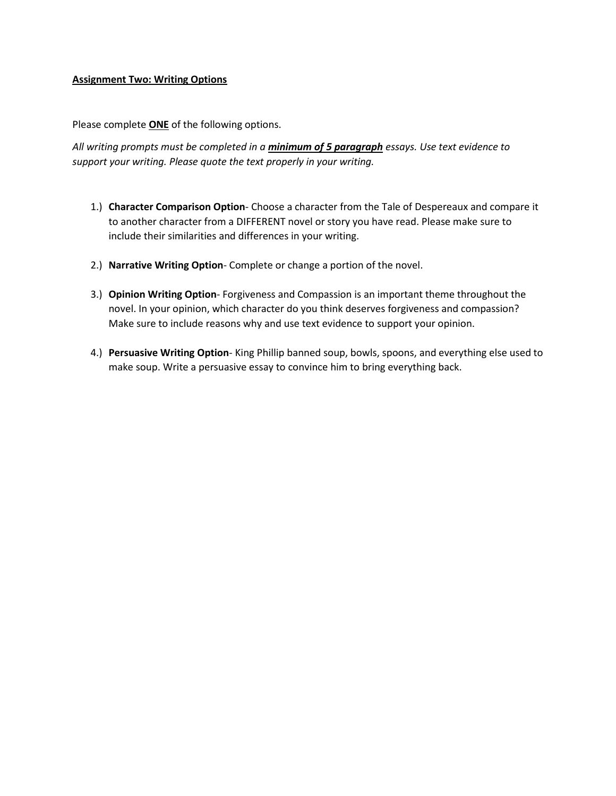#### **Assignment Two: Writing Options**

Please complete **ONE** of the following options.

*All writing prompts must be completed in a minimum of 5 paragraph essays. Use text evidence to support your writing. Please quote the text properly in your writing.*

- 1.) **Character Comparison Option** Choose a character from the Tale of Despereaux and compare it to another character from a DIFFERENT novel or story you have read. Please make sure to include their similarities and differences in your writing.
- 2.) **Narrative Writing Option** Complete or change a portion of the novel.
- 3.) **Opinion Writing Option** Forgiveness and Compassion is an important theme throughout the novel. In your opinion, which character do you think deserves forgiveness and compassion? Make sure to include reasons why and use text evidence to support your opinion.
- 4.) **Persuasive Writing Option** King Phillip banned soup, bowls, spoons, and everything else used to make soup. Write a persuasive essay to convince him to bring everything back.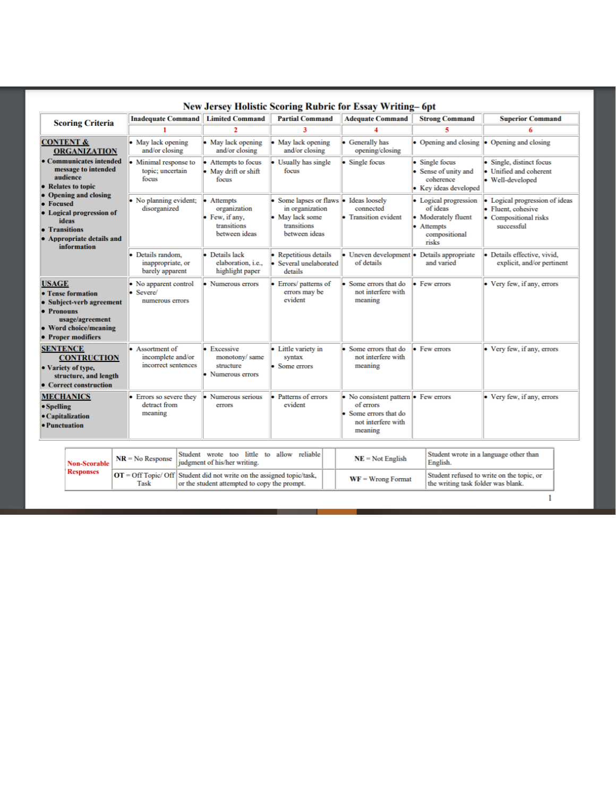| New Jersey Holistic Scoring Rubric for Essay Writing-6pt                                                                                         |                                                                     |                                                                              |                                                                                                            |                                                                                                           |                                                                                                  |                                                                                           |  |  |  |
|--------------------------------------------------------------------------------------------------------------------------------------------------|---------------------------------------------------------------------|------------------------------------------------------------------------------|------------------------------------------------------------------------------------------------------------|-----------------------------------------------------------------------------------------------------------|--------------------------------------------------------------------------------------------------|-------------------------------------------------------------------------------------------|--|--|--|
| <b>Scoring Criteria</b>                                                                                                                          | <b>Inadequate Command</b>                                           | <b>Limited Command</b>                                                       | <b>Partial Command</b>                                                                                     | <b>Adequate Command</b>                                                                                   | <b>Strong Command</b>                                                                            | <b>Superior Command</b>                                                                   |  |  |  |
|                                                                                                                                                  |                                                                     | 2                                                                            | 3                                                                                                          |                                                                                                           | 5                                                                                                |                                                                                           |  |  |  |
| <b>CONTENT &amp;</b><br><b>ORGANIZATION</b>                                                                                                      | $\bullet$ May lack opening<br>and/or closing                        | $\bullet$ May lack opening<br>and/or closing                                 | May lack opening<br>and/or closing                                                                         | • Generally has<br>opening/closing                                                                        | • Opening and closing                                                                            | $\bullet$ Opening and closing                                                             |  |  |  |
| • Communicates intended<br>message to intended<br>audience<br>• Relates to topic                                                                 | Minimal response to<br>topic: uncertain<br>focus                    | • Attempts to focus<br>• May drift or shift<br>focus                         | Usually has single<br>focus                                                                                | • Single focus                                                                                            | • Single focus<br>• Sense of unity and<br>coherence<br>• Key ideas developed                     | • Single, distinct focus<br>Unified and coherent<br>• Well-developed                      |  |  |  |
| <b>Opening and closing</b><br>• Focused<br>• Logical progression of<br><b>ideas</b><br>• Transitions<br>• Appropriate details and<br>information | • No planning evident;<br>disorganized                              | • Attempts<br>organization<br>• Few, if any,<br>transitions<br>between ideas | Some lapses or flaws • Ideas loosely<br>in organization<br>• May lack some<br>transitions<br>between ideas | connected<br>• Transition evident                                                                         | • Logical progression<br>of ideas<br>• Moderately fluent<br>• Attempts<br>compositional<br>risks | Logical progression of ideas<br>• Fluent, cohesive<br>• Compositional risks<br>successful |  |  |  |
|                                                                                                                                                  | Details random.<br>inappropriate, or<br>barely apparent             | • Details lack<br>elaboration, i.e.,<br>highlight paper                      | <b>Repetitious details</b><br>Several unelaborated<br>details                                              | • Uneven development • Details appropriate<br>of details                                                  | and varied                                                                                       | · Details effective, vivid.<br>explicit, and/or pertinent                                 |  |  |  |
| <b>USAGE</b><br>• Tense formation<br>• Subject-verb agreement<br>• Pronouns<br>usage/agreement<br>• Word choice/meaning<br>• Proper modifiers    | No apparent control<br>• Severe/<br>numerous errors                 | • Numerous errors                                                            | Errors/ patterns of<br>errors may be<br>evident                                                            | Some errors that do<br>not interfere with<br>meaning                                                      | • Few errors                                                                                     | • Very few, if any, errors                                                                |  |  |  |
| <b>SENTENCE</b><br><b>CONTRUCTION</b><br>• Variety of type,<br>structure, and length<br>• Correct construction                                   | $\bullet$ Assortment of<br>incomplete and/or<br>incorrect sentences | $\bullet$ Excessive<br>monotony/same<br>structure<br>• Numerous errors       | • Little variety in<br>syntax<br>• Some errors                                                             | $\bullet$ Some errors that do<br>not interfere with<br>meaning                                            | • Few errors                                                                                     | • Very few, if any, errors                                                                |  |  |  |
| <b>MECHANICS</b><br>$\bullet$ Spelling<br>• Capitalization<br>• Punctuation                                                                      | • Errors so severe they<br>detract from<br>meaning                  | • Numerous serious<br>errors                                                 | Patterns of errors<br>evident                                                                              | • No consistent pattern • Few errors<br>of errors<br>Some errors that do<br>not interfere with<br>meaning |                                                                                                  | • Very few, if any, errors                                                                |  |  |  |

| <b>Non-Scorable</b> |      | Student wrote too little to allow reliable<br>$\left  \text{NR} = \text{No Response} \right $ judgment of his/her writing.           | $NE = Not$ English  | Student wrote in a language other than<br>English.                              |
|---------------------|------|--------------------------------------------------------------------------------------------------------------------------------------|---------------------|---------------------------------------------------------------------------------|
| <b>Responses</b>    | Task | $\overline{OT}$ = Off Topic/ Off   Student did not write on the assigned topic/task,<br>or the student attempted to copy the prompt. | $WF =$ Wrong Format | Student refused to write on the topic, or<br>the writing task folder was blank. |
|                     |      |                                                                                                                                      |                     |                                                                                 |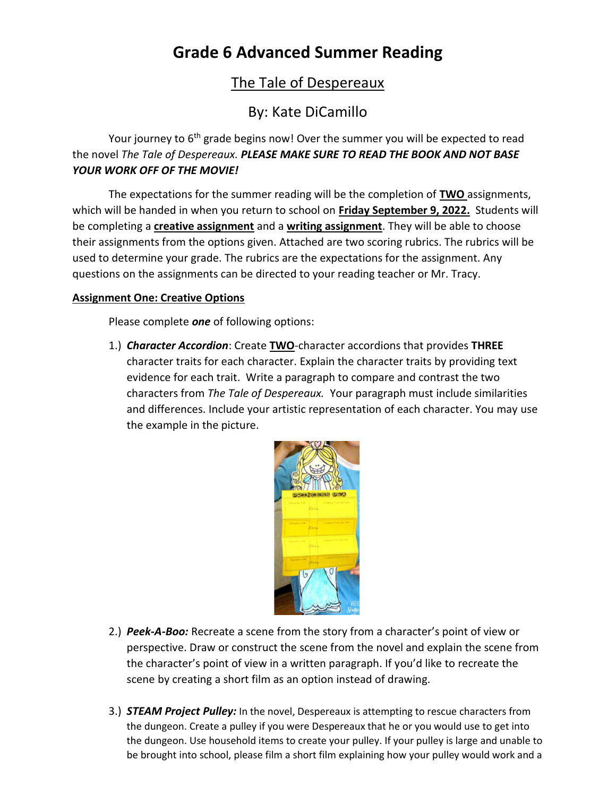# **Grade 6 Advanced Summer Reading**

## The Tale of Despereaux

## By: Kate DiCamillo

Your journey to 6<sup>th</sup> grade begins now! Over the summer you will be expected to read the novel *The Tale of Despereaux. PLEASE MAKE SURE TO READ THE BOOK AND NOT BASE YOUR WORK OFF OF THE MOVIE!* 

The expectations for the summer reading will be the completion of **TWO** assignments, which will be handed in when you return to school on **Friday September 9, 2022.** Students will be completing a **creative assignment** and a **writing assignment**. They will be able to choose their assignments from the options given. Attached are two scoring rubrics. The rubrics will be used to determine your grade. The rubrics are the expectations for the assignment. Any questions on the assignments can be directed to your reading teacher or Mr. Tracy.

### **Assignment One: Creative Options**

Please complete *one* of following options:

1.) *Character Accordion*: Create **TWO**-character accordions that provides **THREE** character traits for each character. Explain the character traits by providing text evidence for each trait. Write a paragraph to compare and contrast the two characters from *The Tale of Despereaux.* Your paragraph must include similarities and differences. Include your artistic representation of each character. You may use the example in the picture.



- 2.) *Peek-A-Boo:* Recreate a scene from the story from a character's point of view or perspective. Draw or construct the scene from the novel and explain the scene from the character's point of view in a written paragraph. If you'd like to recreate the scene by creating a short film as an option instead of drawing.
- 3.) *STEAM Project Pulley:* In the novel, Despereaux is attempting to rescue characters from the dungeon. Create a pulley if you were Despereaux that he or you would use to get into the dungeon. Use household items to create your pulley. If your pulley is large and unable to be brought into school, please film a short film explaining how your pulley would work and a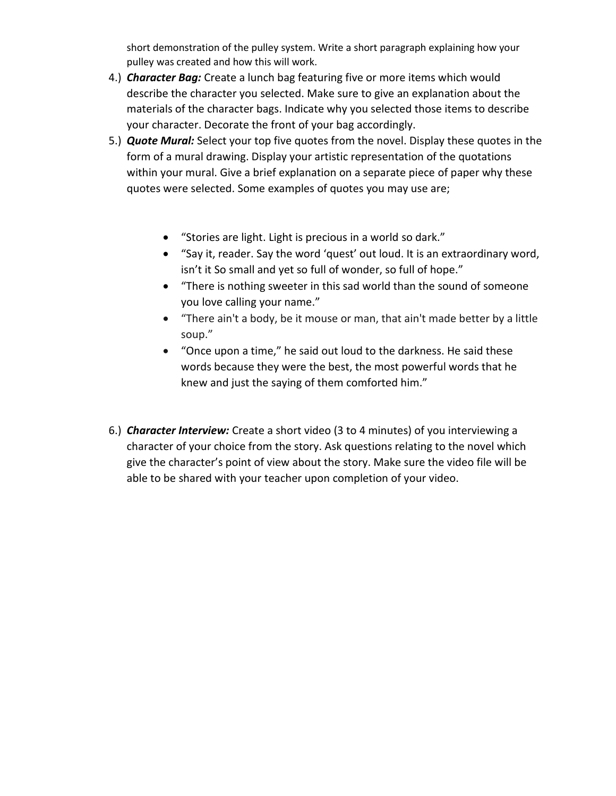short demonstration of the pulley system. Write a short paragraph explaining how your pulley was created and how this will work.

- 4.) *Character Bag:* Create a lunch bag featuring five or more items which would describe the character you selected. Make sure to give an explanation about the materials of the character bags. Indicate why you selected those items to describe your character. Decorate the front of your bag accordingly.
- 5.) *Quote Mural:* Select your top five quotes from the novel. Display these quotes in the form of a mural drawing. Display your artistic representation of the quotations within your mural. Give a brief explanation on a separate piece of paper why these quotes were selected. Some examples of quotes you may use are;
	- "Stories are light. Light is precious in a world so dark."
	- "Say it, reader. Say the word 'quest' out loud. It is an extraordinary word, isn't it So small and yet so full of wonder, so full of hope."
	- "There is nothing sweeter in this sad world than the sound of someone you love calling your name."
	- "There ain't a body, be it mouse or man, that ain't made better by a little soup."
	- "Once upon a time," he said out loud to the darkness. He said these words because they were the best, the most powerful words that he knew and just the saying of them comforted him."
- 6.) *Character Interview:* Create a short video (3 to 4 minutes) of you interviewing a character of your choice from the story. Ask questions relating to the novel which give the character's point of view about the story. Make sure the video file will be able to be shared with your teacher upon completion of your video.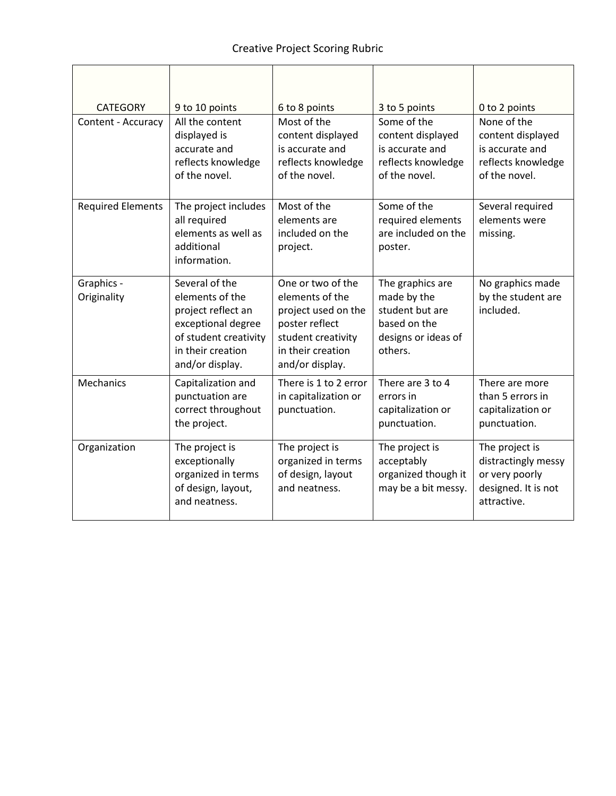| <b>CATEGORY</b><br>Content - Accuracy | 9 to 10 points<br>All the content<br>displayed is<br>accurate and<br>reflects knowledge<br>of the novel.                                       | 6 to 8 points<br>Most of the<br>content displayed<br>is accurate and<br>reflects knowledge<br>of the novel.                                 | 3 to 5 points<br>Some of the<br>content displayed<br>is accurate and<br>reflects knowledge<br>of the novel. | 0 to 2 points<br>None of the<br>content displayed<br>is accurate and<br>reflects knowledge<br>of the novel. |
|---------------------------------------|------------------------------------------------------------------------------------------------------------------------------------------------|---------------------------------------------------------------------------------------------------------------------------------------------|-------------------------------------------------------------------------------------------------------------|-------------------------------------------------------------------------------------------------------------|
| <b>Required Elements</b>              | The project includes<br>all required<br>elements as well as<br>additional<br>information.                                                      | Most of the<br>elements are<br>included on the<br>project.                                                                                  | Some of the<br>required elements<br>are included on the<br>poster.                                          | Several required<br>elements were<br>missing.                                                               |
| Graphics -<br>Originality             | Several of the<br>elements of the<br>project reflect an<br>exceptional degree<br>of student creativity<br>in their creation<br>and/or display. | One or two of the<br>elements of the<br>project used on the<br>poster reflect<br>student creativity<br>in their creation<br>and/or display. | The graphics are<br>made by the<br>student but are<br>based on the<br>designs or ideas of<br>others.        | No graphics made<br>by the student are<br>included.                                                         |
| <b>Mechanics</b>                      | Capitalization and<br>punctuation are<br>correct throughout<br>the project.                                                                    | There is 1 to 2 error<br>in capitalization or<br>punctuation.                                                                               | There are 3 to 4<br>errors in<br>capitalization or<br>punctuation.                                          | There are more<br>than 5 errors in<br>capitalization or<br>punctuation.                                     |
| Organization                          | The project is<br>exceptionally<br>organized in terms<br>of design, layout,<br>and neatness.                                                   | The project is<br>organized in terms<br>of design, layout<br>and neatness.                                                                  | The project is<br>acceptably<br>organized though it<br>may be a bit messy.                                  | The project is<br>distractingly messy<br>or very poorly<br>designed. It is not<br>attractive.               |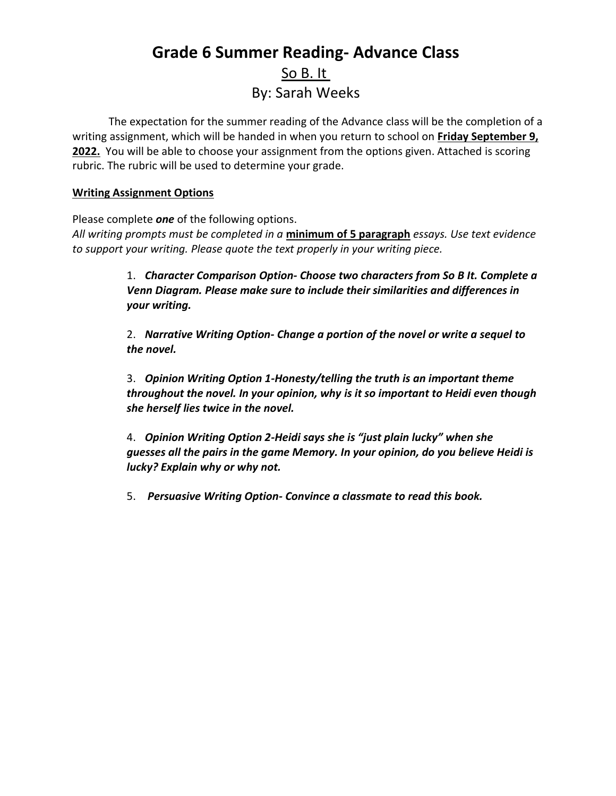## **Grade 6 Summer Reading- Advance Class** So B. It By: Sarah Weeks

The expectation for the summer reading of the Advance class will be the completion of a writing assignment, which will be handed in when you return to school on **Friday September 9,**  2022. You will be able to choose your assignment from the options given. Attached is scoring rubric. The rubric will be used to determine your grade.

### **Writing Assignment Options**

Please complete *one* of the following options.

*All writing prompts must be completed in a* **minimum of 5 paragraph** *essays. Use text evidence to support your writing. Please quote the text properly in your writing piece.*

> 1. *Character Comparison Option- Choose two characters from So B It. Complete a Venn Diagram. Please make sure to include their similarities and differences in your writing.*

2. *Narrative Writing Option- Change a portion of the novel or write a sequel to the novel.* 

3. *Opinion Writing Option 1-Honesty/telling the truth is an important theme throughout the novel. In your opinion, why is it so important to Heidi even though she herself lies twice in the novel.*

4. *Opinion Writing Option 2-Heidi says she is "just plain lucky" when she guesses all the pairs in the game Memory. In your opinion, do you believe Heidi is lucky? Explain why or why not.*

5. *Persuasive Writing Option- Convince a classmate to read this book.*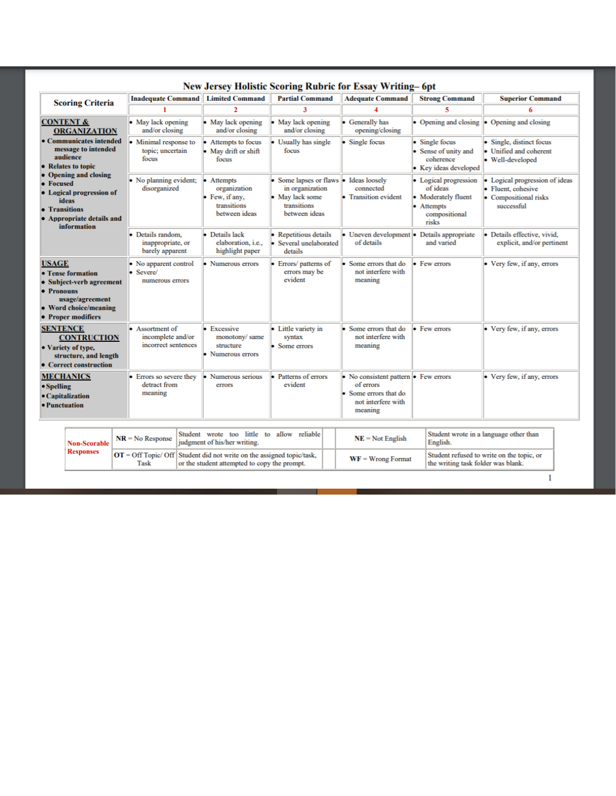| <b>New Jersey Holistic Scoring Rubric for Essay Writing-6pt</b>                                                                               |                                                                                                                    |   |                                                           |  |                                                                                                   |                                                                                                            |                                                                                                           |                                                                                                  |                                                                                         |  |
|-----------------------------------------------------------------------------------------------------------------------------------------------|--------------------------------------------------------------------------------------------------------------------|---|-----------------------------------------------------------|--|---------------------------------------------------------------------------------------------------|------------------------------------------------------------------------------------------------------------|-----------------------------------------------------------------------------------------------------------|--------------------------------------------------------------------------------------------------|-----------------------------------------------------------------------------------------|--|
| <b>Scoring Criteria</b>                                                                                                                       |                                                                                                                    |   | <b>Inadequate Command</b>                                 |  | <b>Limited Command</b>                                                                            | <b>Partial Command</b>                                                                                     | <b>Adequate Command</b>                                                                                   | <b>Strong Command</b>                                                                            | <b>Superior Command</b>                                                                 |  |
|                                                                                                                                               |                                                                                                                    |   |                                                           |  | z.                                                                                                | ٦                                                                                                          |                                                                                                           | 5                                                                                                |                                                                                         |  |
| <b>CONTENT &amp;</b>                                                                                                                          | <b>ORGANIZATION</b>                                                                                                |   | • May lack opening<br>and/or closing                      |  | • May lack opening<br>and/or closing                                                              | • May lack opening<br>and/or closing                                                                       | • Generally has<br>opening/closing                                                                        | • Opening and closing                                                                            | • Opening and closing                                                                   |  |
| • Focused<br>• Transitions                                                                                                                    | • Communicates intended<br>message to intended<br>audience<br>• Relates to topic                                   |   | Minimal response to<br>topic; uncertain<br>focus          |  | Attempts to focus<br>• May drift or shift<br>focus                                                | Usually has single<br>focus                                                                                | • Single focus                                                                                            | Single focus<br>• Sense of unity and<br>coherence<br>• Key ideas developed                       | Single, distinct focus<br>Unified and coherent<br>• Well-developed                      |  |
|                                                                                                                                               | <b>Opening and closing</b><br>• Logical progression of<br><b>ideas</b><br>• Appropriate details and<br>information |   | No planning evident;<br>disorganized                      |  | • Attempts<br>organization<br>• Few. if any,<br>transitions<br>between ideas                      | Some lapses or flaws • Ideas loosely<br>in organization<br>• May lack some<br>transitions<br>between ideas | connected<br>• Transition evident                                                                         | • Logical progression<br>of ideas<br>• Moderately fluent<br>• Attempts<br>compositional<br>risks | Logical progression of ideas<br>Fluent, cohesive<br>• Compositional risks<br>successful |  |
|                                                                                                                                               |                                                                                                                    |   | Details random.<br>inappropriate, or<br>barely apparent   |  | • Details lack<br>elaboration, <i>i.e.</i> ,<br>highlight paper                                   | Repetitious details<br>• Several unelaborated<br>details                                                   | $\bullet$ Uneven development $\bullet$ Details appropriate<br>of details                                  | and varied                                                                                       | · Details effective, vivid.<br>explicit, and/or pertinent                               |  |
| <b>USAGE</b><br>• Tense formation<br>• Subject-verb agreement<br>• Pronouns<br>usage/agreement<br>• Word choice/meaning<br>• Proper modifiers |                                                                                                                    | b | No apparent control<br>Severe/<br>numerous errors         |  | • Numerous errors                                                                                 | Errors/ patterns of<br>errors may be<br>evident                                                            | Some errors that do<br>not interfere with<br>meaning                                                      | • Few errors                                                                                     | • Very few, if any, errors                                                              |  |
| <b>SENTENCE</b><br><b>CONTRUCTION</b><br>• Variety of type,<br>structure, and length<br>• Correct construction                                |                                                                                                                    |   | Assortment of<br>incomplete and/or<br>incorrect sentences |  | • Excessive<br>monotony/same<br>structure<br>• Numerous errors                                    | • Little variety in<br>syntax<br>Some errors                                                               | $\bullet$ Some errors that do<br>not interfere with<br>meaning                                            | • Few errors                                                                                     | • Very few, if any, errors                                                              |  |
| <b>MECHANICS</b><br>• Spelling<br>• Capitalization<br>• Punctuation                                                                           |                                                                                                                    |   | Errors so severe they<br>detract from<br>meaning          |  | • Numerous serious<br>errors                                                                      | Patterns of errors<br>evident                                                                              | • No consistent pattern • Few errors<br>of errors<br>Some errors that do<br>not interfere with<br>meaning | • Very few, if any, errors                                                                       |                                                                                         |  |
|                                                                                                                                               | <b>Non-Scorable</b>                                                                                                |   | $NR = No$ Response                                        |  | Student wrote too little to allow reliable<br>judgment of his/her writing.                        |                                                                                                            | $NE = Not$ English                                                                                        | English.                                                                                         | Student wrote in a language other than                                                  |  |
| <b>Responses</b>                                                                                                                              |                                                                                                                    |   | $OT = Off Topic/Off$<br>Task                              |  | Student did not write on the assigned topic/task,<br>or the student attempted to copy the prompt. |                                                                                                            | Student refused to write on the topic, or<br>$WF =$ Wrong Format<br>the writing task folder was blank.    |                                                                                                  |                                                                                         |  |

 $\mathbf{1}$